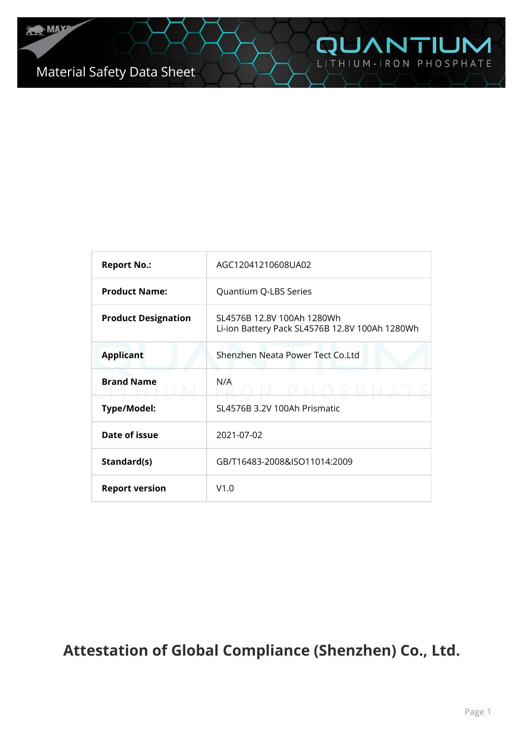| <b>Report No.:</b>         | AGC12041210608UA02                                                           |  |  |
|----------------------------|------------------------------------------------------------------------------|--|--|
| <b>Product Name:</b>       | Quantium Q-LBS Series                                                        |  |  |
| <b>Product Designation</b> | SL4576B 12.8V 100Ah 1280Wh<br>Li-ion Battery Pack SL4576B 12.8V 100Ah 1280Wh |  |  |
| <b>Applicant</b>           | Shenzhen Neata Power Tect Co.Ltd                                             |  |  |
| <b>Brand Name</b>          | N/A                                                                          |  |  |
| <b>Type/Model:</b>         | SL4576B 3.2V 100Ah Prismatic                                                 |  |  |
| Date of issue              | 2021-07-02                                                                   |  |  |
| Standard(s)                | GB/T16483-2008&ISO11014:2009                                                 |  |  |
| <b>Report version</b>      | V1.0                                                                         |  |  |

# **Attestation of Global Compliance (Shenzhen) Co., Ltd.**

**QUANTIUM**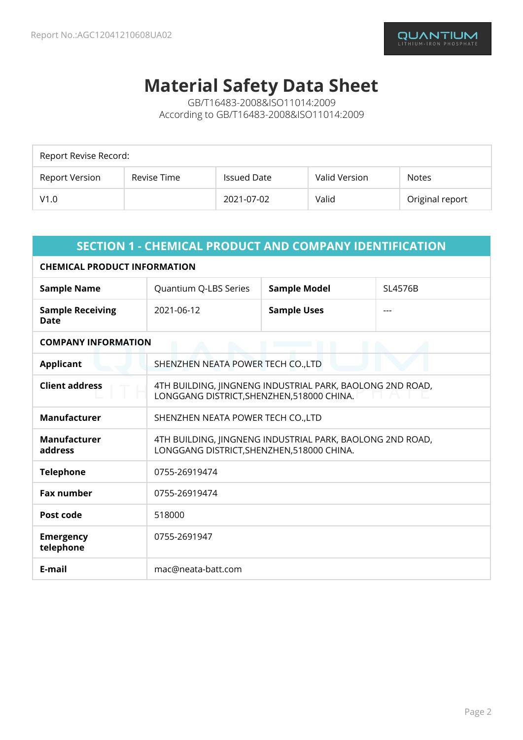# **Material Safety Data Sheet**

GB/T16483-2008&ISO11014:2009 According to GB/T16483-2008&ISO11014:2009

| Report Revise Record: |             |                    |               |                 |  |
|-----------------------|-------------|--------------------|---------------|-----------------|--|
| Report Version        | Revise Time | <b>Issued Date</b> | Valid Version | <b>Notes</b>    |  |
| V1.0                  |             | 2021-07-02         | Valid         | Original report |  |

| <b>SECTION 1 - CHEMICAL PRODUCT AND COMPANY IDENTIFICATION</b> |                                                                                                         |                    |  |  |  |
|----------------------------------------------------------------|---------------------------------------------------------------------------------------------------------|--------------------|--|--|--|
| <b>CHEMICAL PRODUCT INFORMATION</b>                            |                                                                                                         |                    |  |  |  |
| <b>Sample Name</b>                                             | <b>Sample Model</b><br>Quantium Q-LBS Series<br>SL4576B                                                 |                    |  |  |  |
| <b>Sample Receiving</b><br><b>Date</b>                         | 2021-06-12                                                                                              | <b>Sample Uses</b> |  |  |  |
| <b>COMPANY INFORMATION</b>                                     |                                                                                                         |                    |  |  |  |
| <b>Applicant</b>                                               | SHENZHEN NEATA POWER TECH CO., LTD                                                                      |                    |  |  |  |
| <b>Client address</b>                                          | 4TH BUILDING, IINGNENG INDUSTRIAL PARK, BAOLONG 2ND ROAD,<br>LONGGANG DISTRICT, SHENZHEN, 518000 CHINA. |                    |  |  |  |
| <b>Manufacturer</b>                                            | SHENZHEN NEATA POWER TECH CO., LTD                                                                      |                    |  |  |  |
| <b>Manufacturer</b><br>address                                 | 4TH BUILDING, JINGNENG INDUSTRIAL PARK, BAOLONG 2ND ROAD,<br>LONGGANG DISTRICT, SHENZHEN, 518000 CHINA. |                    |  |  |  |
| <b>Telephone</b>                                               | 0755-26919474                                                                                           |                    |  |  |  |
| <b>Fax number</b>                                              | 0755-26919474                                                                                           |                    |  |  |  |
| Post code                                                      | 518000                                                                                                  |                    |  |  |  |
| <b>Emergency</b><br>telephone                                  | 0755-2691947                                                                                            |                    |  |  |  |
| E-mail                                                         | mac@neata-batt.com                                                                                      |                    |  |  |  |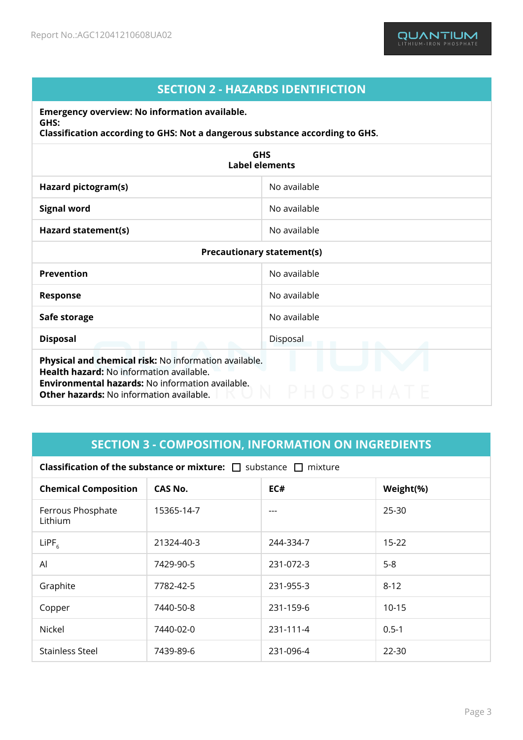# **SECTION 2 - HAZARDS IDENTIFICTION**

**Emergency overview: No information available. GHS:**

**Classification according to GHS: Not a dangerous substance according to GHS.**

| <b>GHS</b><br><b>Label elements</b>                                                                                                                                                                                    |              |  |  |  |
|------------------------------------------------------------------------------------------------------------------------------------------------------------------------------------------------------------------------|--------------|--|--|--|
| Hazard pictogram(s)                                                                                                                                                                                                    | No available |  |  |  |
| <b>Signal word</b>                                                                                                                                                                                                     | No available |  |  |  |
| Hazard statement(s)                                                                                                                                                                                                    | No available |  |  |  |
| <b>Precautionary statement(s)</b>                                                                                                                                                                                      |              |  |  |  |
| <b>Prevention</b>                                                                                                                                                                                                      | No available |  |  |  |
| <b>Response</b>                                                                                                                                                                                                        | No available |  |  |  |
| Safe storage                                                                                                                                                                                                           | No available |  |  |  |
| <b>Disposal</b>                                                                                                                                                                                                        | Disposal     |  |  |  |
| Physical and chemical risk: No information available.<br><b>Health hazard: No information available.</b><br><b>Environmental hazards: No information available.</b><br><b>Other hazards: No information available.</b> |              |  |  |  |

# **SECTION 3 - COMPOSITION, INFORMATION ON INGREDIENTS**

| <b>Classification of the substance or mixture:</b> $\Box$ substance $\Box$ mixture |                                    |           |           |  |
|------------------------------------------------------------------------------------|------------------------------------|-----------|-----------|--|
| <b>Chemical Composition</b>                                                        | EC#<br><b>CAS No.</b><br>Weight(%) |           |           |  |
| Ferrous Phosphate<br>Lithium                                                       | 15365-14-7                         | $---$     | $25 - 30$ |  |
| $L$ iPF <sub>6</sub>                                                               | 21324-40-3                         | 244-334-7 | $15 - 22$ |  |
| Al                                                                                 | 7429-90-5                          | 231-072-3 | $5-8$     |  |
| Graphite                                                                           | 7782-42-5                          | 231-955-3 | $8 - 12$  |  |
| Copper                                                                             | 7440-50-8                          | 231-159-6 | $10 - 15$ |  |
| <b>Nickel</b>                                                                      | 7440-02-0                          | 231-111-4 | $0.5 - 1$ |  |
| <b>Stainless Steel</b>                                                             | 7439-89-6                          | 231-096-4 | 22-30     |  |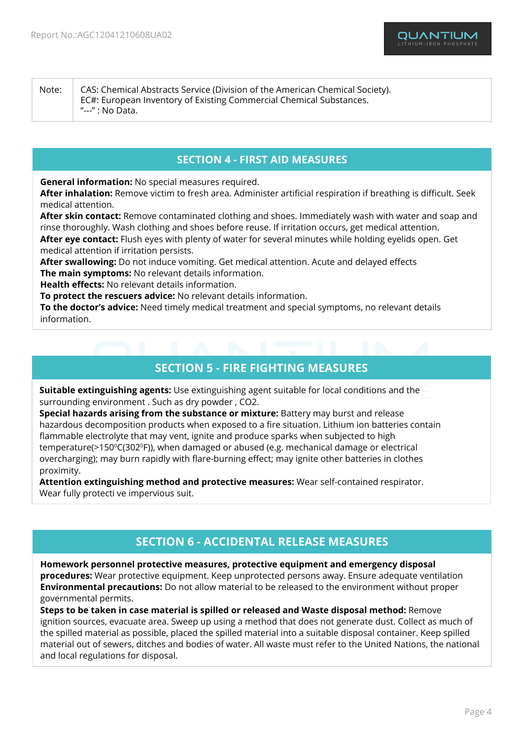Note: CAS: Chemical Abstracts Service (Division of the American Chemical Society). EC#: European Inventory of Existing Commercial Chemical Substances. "---" : No Data.

## **SECTION 4 - FIRST AID MEASURES**

**General information:** No special measures required.

**After inhalation:** Remove victim to fresh area. Administer artificial respiration if breathing is difficult. Seek medical attention.

**After skin contact:** Remove contaminated clothing and shoes. Immediately wash with water and soap and rinse thoroughly. Wash clothing and shoes before reuse. If irritation occurs, get medical attention.

**After eye contact:** Flush eyes with plenty of water for several minutes while holding eyelids open. Get medical attention if irritation persists.

**After swallowing:** Do not induce vomiting. Get medical attention. Acute and delayed effects **The main symptoms:** No relevant details information.

**Health effects:** No relevant details information.

**To protect the rescuers advice:** No relevant details information.

**To the doctor's advice:** Need timely medical treatment and special symptoms, no relevant details information.

# **SECTION 5 - FIRE FIGHTING MEASURES**

**Suitable extinguishing agents:** Use extinguishing agent suitable for local conditions and the surrounding environment . Such as dry powder , CO2.

**Special hazards arising from the substance or mixture:** Battery may burst and release hazardous decomposition products when exposed to a fire situation. Lithium ion batteries contain flammable electrolyte that may vent, ignite and produce sparks when subjected to high temperature( $>150^{\circ}$ C(302 $^{\circ}$ F)), when damaged or abused (e.g. mechanical damage or electrical overcharging); may burn rapidly with flare-burning effect; may ignite other batteries in clothes proximity.

**Attention extinguishing method and protective measures:** Wear self-contained respirator. Wear fully protecti ve impervious suit.

# **SECTION 6 - ACCIDENTAL RELEASE MEASURES**

#### **Homework personnel protective measures, protective equipment and emergency disposal**

**procedures:** Wear protective equipment. Keep unprotected persons away. Ensure adequate ventilation **Environmental precautions:** Do not allow material to be released to the environment without proper governmental permits.

**Steps to be taken in case material is spilled or released and Waste disposal method:** Remove ignition sources, evacuate area. Sweep up using a method that does not generate dust. Collect as much of the spilled material as possible, placed the spilled material into a suitable disposal container. Keep spilled material out of sewers, ditches and bodies of water. All waste must refer to the United Nations, the national and local regulations for disposal.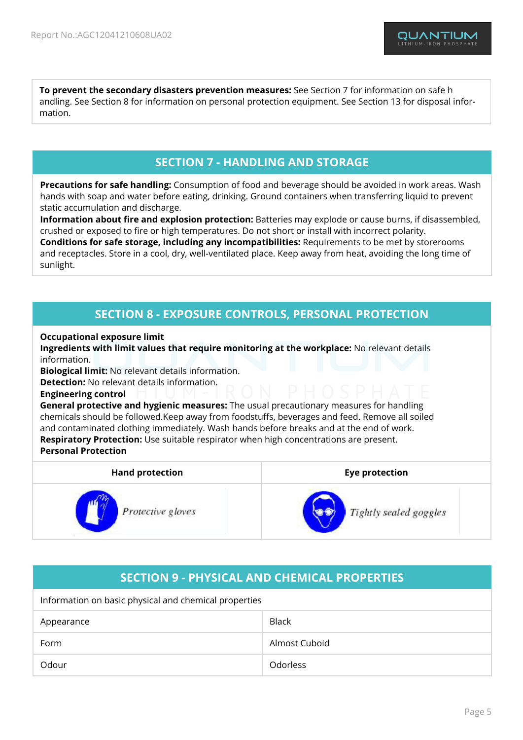**To prevent the secondary disasters prevention measures:** See Section 7 for information on safe h andling. See Section 8 for information on personal protection equipment. See Section 13 for disposal information.

# **SECTION 7 - HANDLING AND STORAGE**

**Precautions for safe handling:** Consumption of food and beverage should be avoided in work areas. Wash hands with soap and water before eating, drinking. Ground containers when transferring liquid to prevent static accumulation and discharge.

**Information about fire and explosion protection:** Batteries may explode or cause burns, if disassembled, crushed or exposed to fire or high temperatures. Do not short or install with incorrect polarity. **Conditions for safe storage, including any incompatibilities:** Requirements to be met by storerooms and receptacles. Store in a cool, dry, well-ventilated place. Keep away from heat, avoiding the long time of sunlight.

# **SECTION 8 - EXPOSURE CONTROLS, PERSONAL PROTECTION**

#### **Occupational exposure limit**

**Ingredients with limit values that require monitoring at the workplace:** No relevant details information.

**Biological limit:** No relevant details information.

**Detection:** No relevant details information.

#### **Engineering control**

**General protective and hygienic measures:** The usual precautionary measures for handling chemicals should be followed.Keep away from foodstuffs, beverages and feed. Remove all soiled and contaminated clothing immediately. Wash hands before breaks and at the end of work. **Respiratory Protection:** Use suitable respirator when high concentrations are present. **Personal Protection**

| <b>Hand protection</b> | <b>Eye protection</b>  |  |  |
|------------------------|------------------------|--|--|
| Protective gloves      | Tightly sealed goggles |  |  |

# **SECTION 9 - PHYSICAL AND CHEMICAL PROPERTIES**

Information on basic physical and chemical properties

| Appearance | <b>Black</b>  |
|------------|---------------|
| Form       | Almost Cuboid |
| Odour      | Odorless      |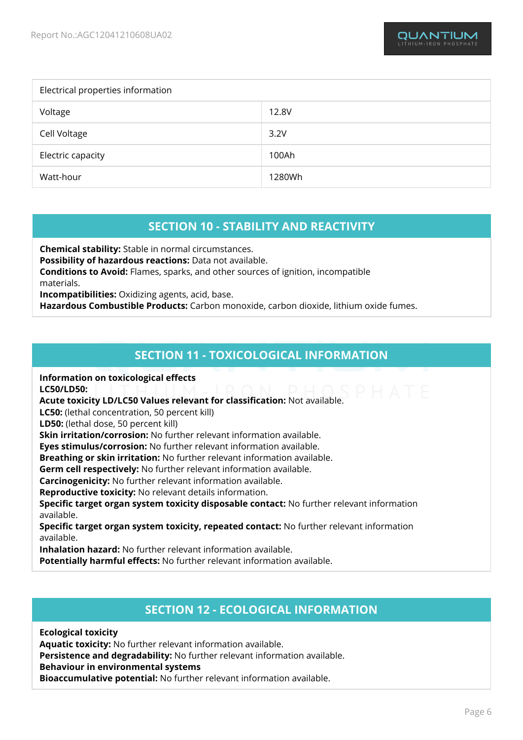| Electrical properties information |        |  |  |
|-----------------------------------|--------|--|--|
| Voltage                           | 12.8V  |  |  |
| Cell Voltage                      | 3.2V   |  |  |
| Electric capacity                 | 100Ah  |  |  |
| Watt-hour                         | 1280Wh |  |  |

# **SECTION 10 - STABILITY AND REACTIVITY**

**Chemical stability:** Stable in normal circumstances. **Possibility of hazardous reactions:** Data not available. **Conditions to Avoid:** Flames, sparks, and other sources of ignition, incompatible materials. **Incompatibilities:** Oxidizing agents, acid, base.

**Hazardous Combustible Products:** Carbon monoxide, carbon dioxide, lithium oxide fumes.

# **SECTION 11 - TOXICOLOGICAL INFORMATION**

**Information on toxicological effects**

**LC50/LD50:**

**Acute toxicity LD/LC50 Values relevant for classification:** Not available.

**LC50:** (lethal concentration, 50 percent kill)

**LD50:** (lethal dose, 50 percent kill)

**Skin irritation/corrosion:** No further relevant information available.

**Eyes stimulus/corrosion:** No further relevant information available.

**Breathing or skin irritation:** No further relevant information available.

**Germ cell respectively:** No further relevant information available.

**Carcinogenicity:** No further relevant information available.

**Reproductive toxicity:** No relevant details information.

**Specific target organ system toxicity disposable contact:** No further relevant information available.

**Specific target organ system toxicity, repeated contact:** No further relevant information available.

**Inhalation hazard:** No further relevant information available.

**Potentially harmful effects:** No further relevant information available.

## **SECTION 12 - ECOLOGICAL INFORMATION**

**Ecological toxicity Aquatic toxicity:** No further relevant information available. **Persistence and degradability:** No further relevant information available. **Behaviour in environmental systems Bioaccumulative potential:** No further relevant information available.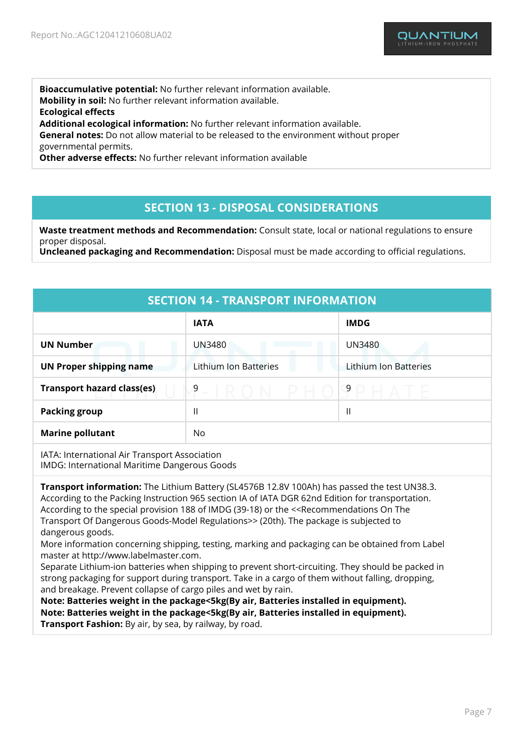**Bioaccumulative potential:** No further relevant information available. **Mobility in soil:** No further relevant information available. **Ecological effects Additional ecological information:** No further relevant information available. **General notes:** Do not allow material to be released to the environment without proper governmental permits. **Other adverse effects:** No further relevant information available

### **SECTION 13 - DISPOSAL CONSIDERATIONS**

**Waste treatment methods and Recommendation:** Consult state, local or national regulations to ensure proper disposal.

**Uncleaned packaging and Recommendation:** Disposal must be made according to official regulations.

| <b>SECTION 14 - TRANSPORT INFORMATION</b>                                                     |                          |                       |  |  |
|-----------------------------------------------------------------------------------------------|--------------------------|-----------------------|--|--|
|                                                                                               | <b>IATA</b>              | <b>IMDG</b>           |  |  |
| <b>UN Number</b>                                                                              | <b>UN3480</b>            | <b>UN3480</b>         |  |  |
| <b>UN Proper shipping name</b>                                                                | Lithium Ion Batteries    | Lithium Ion Batteries |  |  |
| <b>Transport hazard class(es)</b>                                                             | 9<br>IR O<br>N<br>$\sim$ | $\overline{9}$        |  |  |
| <b>Packing group</b>                                                                          | $\mathsf{I}$             | $\mathbf{I}$          |  |  |
| <b>Marine pollutant</b>                                                                       | No                       |                       |  |  |
| IATA: International Air Transport Association<br>IMDG: International Maritime Dangerous Goods |                          |                       |  |  |

**Transport information:** The Lithium Battery (SL4576B 12.8V 100Ah) has passed the test UN38.3. According to the Packing Instruction 965 section IA of IATA DGR 62nd Edition for transportation. According to the special provision 188 of IMDG (39-18) or the <<Recommendations On The Transport Of Dangerous Goods-Model Regulations>> (20th). The package is subjected to dangerous goods.

More information concerning shipping, testing, marking and packaging can be obtained from Label master at http://www.labelmaster.com.

Separate Lithium-ion batteries when shipping to prevent short-circuiting. They should be packed in strong packaging for support during transport. Take in a cargo of them without falling, dropping, and breakage. Prevent collapse of cargo piles and wet by rain.

**Note: Batteries weight in the package<5kg(By air, Batteries installed in equipment). Note: Batteries weight in the package<5kg(By air, Batteries installed in equipment). Transport Fashion:** By air, by sea, by railway, by road.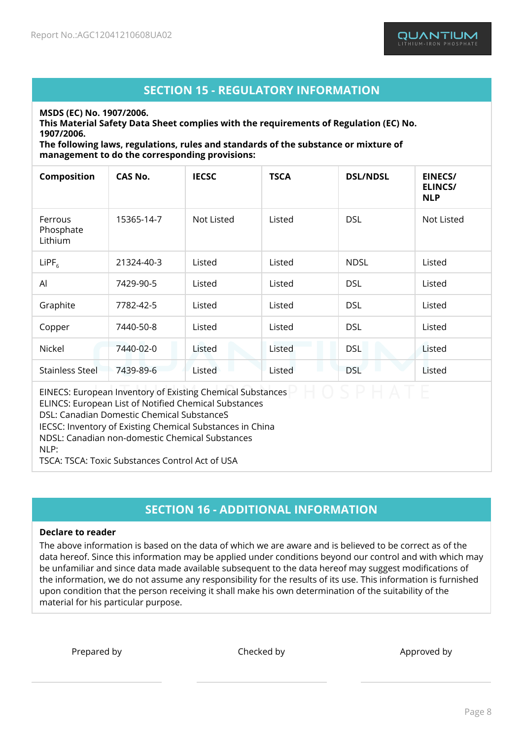# **SECTION 15 - REGULATORY INFORMATION**

**MSDS (EC) No. 1907/2006.**

**This Material Safety Data Sheet complies with the requirements of Regulation (EC) No. 1907/2006.**

**The following laws, regulations, rules and standards of the substance or mixture of management to do the corresponding provisions:**

| Composition                                                                                                                | <b>CAS No.</b> | <b>IECSC</b> | <b>TSCA</b> | <b>DSL/NDSL</b> | <b>EINECS/</b><br><b>ELINCS/</b><br><b>NLP</b> |
|----------------------------------------------------------------------------------------------------------------------------|----------------|--------------|-------------|-----------------|------------------------------------------------|
| Ferrous<br>Phosphate<br>Lithium                                                                                            | 15365-14-7     | Not Listed   | Listed      | <b>DSL</b>      | <b>Not Listed</b>                              |
| LIPF <sub>6</sub>                                                                                                          | 21324-40-3     | Listed       | Listed      | <b>NDSL</b>     | Listed                                         |
| AI                                                                                                                         | 7429-90-5      | Listed       | Listed      | <b>DSL</b>      | Listed                                         |
| Graphite                                                                                                                   | 7782-42-5      | Listed       | Listed      | <b>DSL</b>      | Listed                                         |
| Copper                                                                                                                     | 7440-50-8      | Listed       | Listed      | <b>DSL</b>      | Listed                                         |
| Nickel                                                                                                                     | 7440-02-0      | Listed       | Listed      | <b>DSL</b>      | Listed                                         |
| <b>Stainless Steel</b>                                                                                                     | 7439-89-6      | Listed       | Listed      | <b>DSL</b>      | Listed                                         |
| EINECS: European Inventory of Existing Chemical Substances<br><b>ELINCS: European List of Notified Chemical Substances</b> |                |              |             |                 |                                                |

DSL: Canadian Domestic Chemical SubstanceS

IECSC: Inventory of Existing Chemical Substances in China

NDSL: Canadian non-domestic Chemical Substances

 $NIP$ :

TSCA: TSCA: Toxic Substances Control Act of USA

# **SECTION 16 - ADDITIONAL INFORMATION**

#### **Declare to reader**

The above information is based on the data of which we are aware and is believed to be correct as of the data hereof. Since this information may be applied under conditions beyond our control and with which may be unfamiliar and since data made available subsequent to the data hereof may suggest modifications of the information, we do not assume any responsibility for the results of its use. This information is furnished upon condition that the person receiving it shall make his own determination of the suitability of the material for his particular purpose.

Prepared by Checked by Checked by Approved by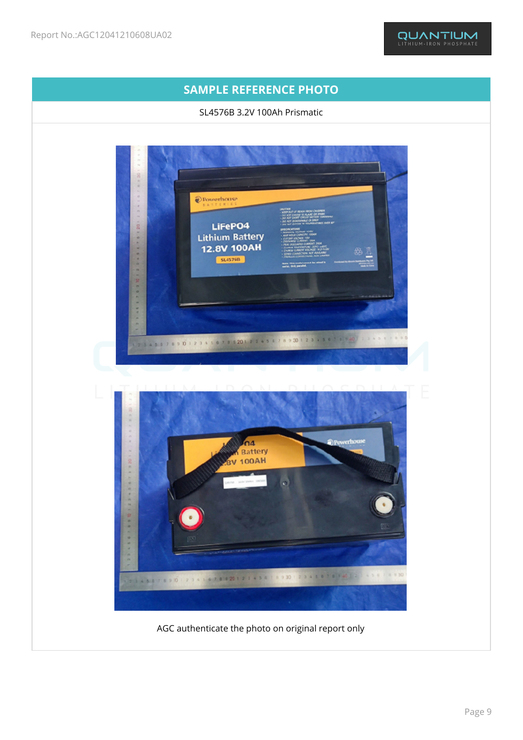

AGC authenticate the photo on original report only